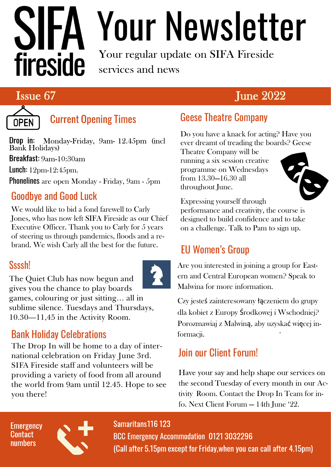# fireside

# Your Newsletter

Your regular update on SIFA Fireside services and news

# Issue 67 June 2022



# **Current Opening Times**

Drop in: Monday-Friday, 9am- 12.45pm (incl<br>Bank Holidays) **Breakfast:**  $9am-10:30am$ 

Lunch: 12pm-12:45pm.

Phonelines are open Monday - Friday, 9am - 5pm

# Goodbye and Good Luck

We would like to bid a fond farewell to Carly Jones, who has now left SIFA Fireside as our Chief Executive Officer. Thank you to Carly for 5 years of steering us through pandemics, floods and a rebrand. We wish Carly all the best for the future.

### Ssssh!

The Quiet Club has now begun and gives you the chance to play boards games, colouring or just sitting… all in sublime silence. Tuesdays and Thursdays, 10.30—11,45 in the Activity Room.

# Bank Holiday Celebrations

The Drop In will be home to a day of international celebration on Friday June 3rd. SIFA Fireside staff and volunteers will be providing a variety of food from all around the world from 9am until 12.45. Hope to see you there!



Do you have a knack for acting? Have you ever dreamt of treading the boards? Geese

Theatre Company will be running a six session creative programme on Wednesdays from 13.30—16.30 all throughout June.



Expressing yourself through performance and creativity, the course is designed to build confidence and to take on a challenge. Talk to Pam to sign up.

# EU Women's Group

Are you interested in joining a group for Eastern and Central European women? Speak to Malwina for more information.

Czy jesteś zainteresowany łączeniem do grupy dla kobiet z Europy Środkowej i Wschodniej? Porozmawiaj z Malwiną, aby uzyskać więcej informacji.

# Join our Client Forum!

Have your say and help shape our services on the second Tuesday of every month in our Activity Room. Contact the Drop In Team for info. Next Client Forum — 14th June '22.

#### **Emergency** Contact numbers



### Samaritans 116 123

BCC Emergency Accommodation 0121 3032296 (Call after 5.15pm except for Friday, when you can call after 4.15pm)